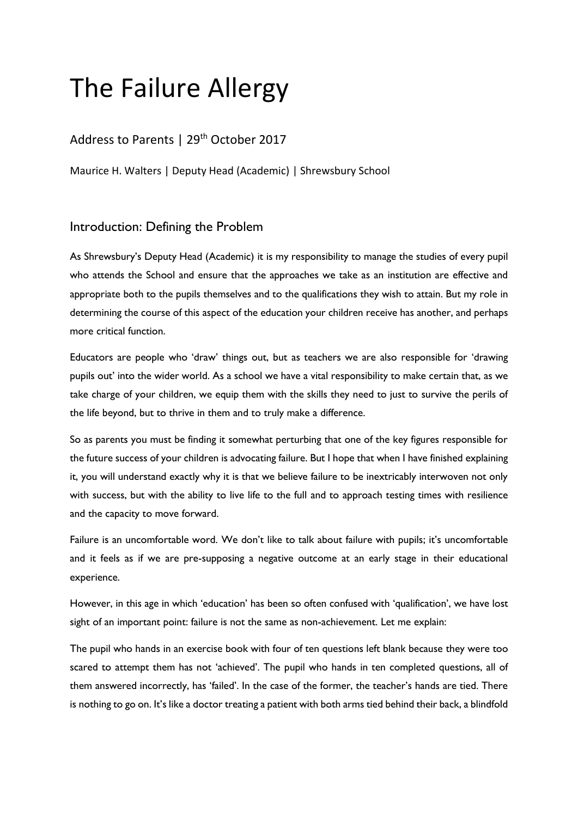# The Failure Allergy

# Address to Parents | 29<sup>th</sup> October 2017

Maurice H. Walters | Deputy Head (Academic) | Shrewsbury School

## Introduction: Defining the Problem

As Shrewsbury's Deputy Head (Academic) it is my responsibility to manage the studies of every pupil who attends the School and ensure that the approaches we take as an institution are effective and appropriate both to the pupils themselves and to the qualifications they wish to attain. But my role in determining the course of this aspect of the education your children receive has another, and perhaps more critical function.

Educators are people who 'draw' things out, but as teachers we are also responsible for 'drawing pupils out' into the wider world. As a school we have a vital responsibility to make certain that, as we take charge of your children, we equip them with the skills they need to just to survive the perils of the life beyond, but to thrive in them and to truly make a difference.

So as parents you must be finding it somewhat perturbing that one of the key figures responsible for the future success of your children is advocating failure. But I hope that when I have finished explaining it, you will understand exactly why it is that we believe failure to be inextricably interwoven not only with success, but with the ability to live life to the full and to approach testing times with resilience and the capacity to move forward.

Failure is an uncomfortable word. We don't like to talk about failure with pupils; it's uncomfortable and it feels as if we are pre-supposing a negative outcome at an early stage in their educational experience.

However, in this age in which 'education' has been so often confused with 'qualification', we have lost sight of an important point: failure is not the same as non-achievement. Let me explain:

The pupil who hands in an exercise book with four of ten questions left blank because they were too scared to attempt them has not 'achieved'. The pupil who hands in ten completed questions, all of them answered incorrectly, has 'failed'. In the case of the former, the teacher's hands are tied. There is nothing to go on. It's like a doctor treating a patient with both arms tied behind their back, a blindfold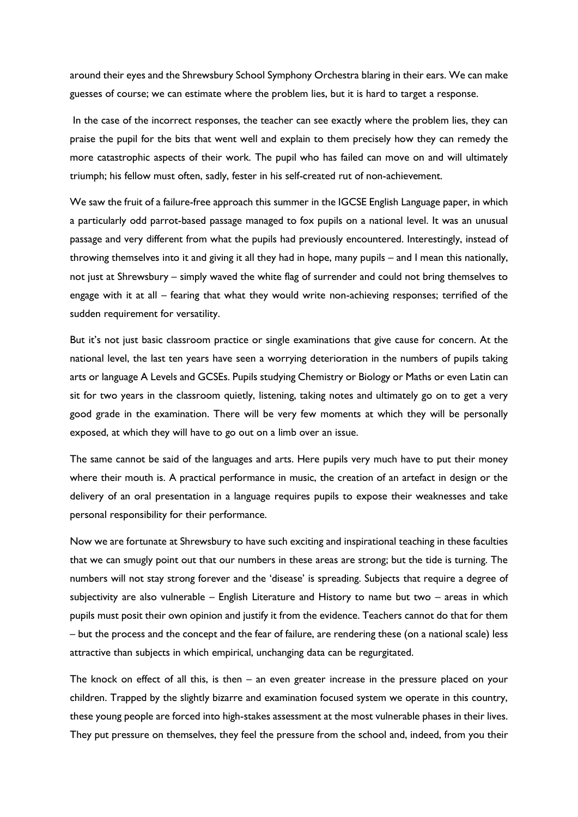around their eyes and the Shrewsbury School Symphony Orchestra blaring in their ears. We can make guesses of course; we can estimate where the problem lies, but it is hard to target a response.

In the case of the incorrect responses, the teacher can see exactly where the problem lies, they can praise the pupil for the bits that went well and explain to them precisely how they can remedy the more catastrophic aspects of their work. The pupil who has failed can move on and will ultimately triumph; his fellow must often, sadly, fester in his self-created rut of non-achievement.

We saw the fruit of a failure-free approach this summer in the IGCSE English Language paper, in which a particularly odd parrot-based passage managed to fox pupils on a national level. It was an unusual passage and very different from what the pupils had previously encountered. Interestingly, instead of throwing themselves into it and giving it all they had in hope, many pupils – and I mean this nationally, not just at Shrewsbury – simply waved the white flag of surrender and could not bring themselves to engage with it at all – fearing that what they would write non-achieving responses; terrified of the sudden requirement for versatility.

But it's not just basic classroom practice or single examinations that give cause for concern. At the national level, the last ten years have seen a worrying deterioration in the numbers of pupils taking arts or language A Levels and GCSEs. Pupils studying Chemistry or Biology or Maths or even Latin can sit for two years in the classroom quietly, listening, taking notes and ultimately go on to get a very good grade in the examination. There will be very few moments at which they will be personally exposed, at which they will have to go out on a limb over an issue.

The same cannot be said of the languages and arts. Here pupils very much have to put their money where their mouth is. A practical performance in music, the creation of an artefact in design or the delivery of an oral presentation in a language requires pupils to expose their weaknesses and take personal responsibility for their performance.

Now we are fortunate at Shrewsbury to have such exciting and inspirational teaching in these faculties that we can smugly point out that our numbers in these areas are strong; but the tide is turning. The numbers will not stay strong forever and the 'disease' is spreading. Subjects that require a degree of subjectivity are also vulnerable – English Literature and History to name but two – areas in which pupils must posit their own opinion and justify it from the evidence. Teachers cannot do that for them – but the process and the concept and the fear of failure, are rendering these (on a national scale) less attractive than subjects in which empirical, unchanging data can be regurgitated.

The knock on effect of all this, is then – an even greater increase in the pressure placed on your children. Trapped by the slightly bizarre and examination focused system we operate in this country, these young people are forced into high-stakes assessment at the most vulnerable phases in their lives. They put pressure on themselves, they feel the pressure from the school and, indeed, from you their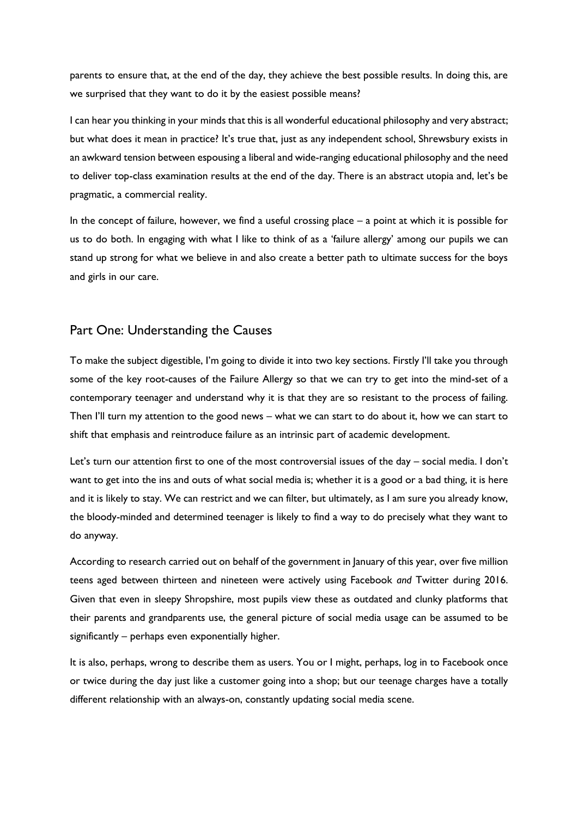parents to ensure that, at the end of the day, they achieve the best possible results. In doing this, are we surprised that they want to do it by the easiest possible means?

I can hear you thinking in your minds that this is all wonderful educational philosophy and very abstract; but what does it mean in practice? It's true that, just as any independent school, Shrewsbury exists in an awkward tension between espousing a liberal and wide-ranging educational philosophy and the need to deliver top-class examination results at the end of the day. There is an abstract utopia and, let's be pragmatic, a commercial reality.

In the concept of failure, however, we find a useful crossing place – a point at which it is possible for us to do both. In engaging with what I like to think of as a 'failure allergy' among our pupils we can stand up strong for what we believe in and also create a better path to ultimate success for the boys and girls in our care.

## Part One: Understanding the Causes

To make the subject digestible, I'm going to divide it into two key sections. Firstly I'll take you through some of the key root-causes of the Failure Allergy so that we can try to get into the mind-set of a contemporary teenager and understand why it is that they are so resistant to the process of failing. Then I'll turn my attention to the good news – what we can start to do about it, how we can start to shift that emphasis and reintroduce failure as an intrinsic part of academic development.

Let's turn our attention first to one of the most controversial issues of the day – social media. I don't want to get into the ins and outs of what social media is; whether it is a good or a bad thing, it is here and it is likely to stay. We can restrict and we can filter, but ultimately, as I am sure you already know, the bloody-minded and determined teenager is likely to find a way to do precisely what they want to do anyway.

According to research carried out on behalf of the government in January of this year, over five million teens aged between thirteen and nineteen were actively using Facebook *and* Twitter during 2016. Given that even in sleepy Shropshire, most pupils view these as outdated and clunky platforms that their parents and grandparents use, the general picture of social media usage can be assumed to be significantly – perhaps even exponentially higher.

It is also, perhaps, wrong to describe them as users. You or I might, perhaps, log in to Facebook once or twice during the day just like a customer going into a shop; but our teenage charges have a totally different relationship with an always-on, constantly updating social media scene.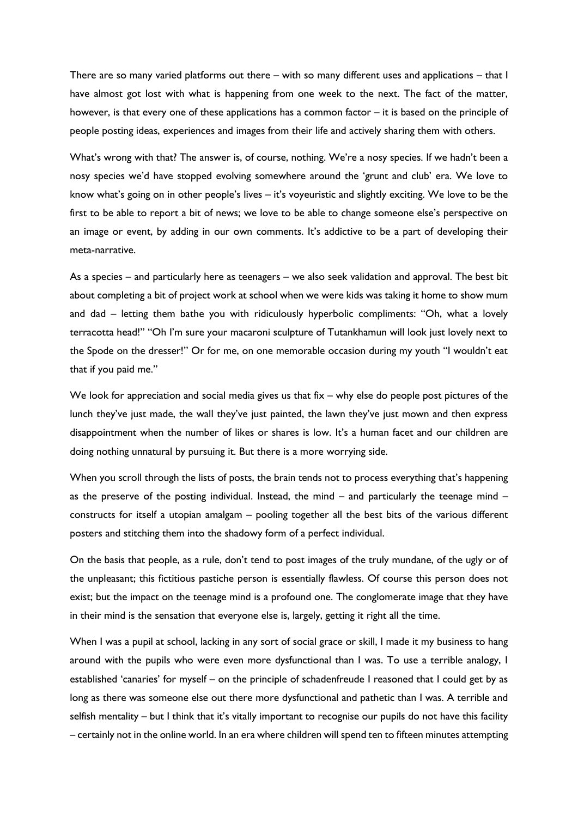There are so many varied platforms out there – with so many different uses and applications – that I have almost got lost with what is happening from one week to the next. The fact of the matter, however, is that every one of these applications has a common factor – it is based on the principle of people posting ideas, experiences and images from their life and actively sharing them with others.

What's wrong with that? The answer is, of course, nothing. We're a nosy species. If we hadn't been a nosy species we'd have stopped evolving somewhere around the 'grunt and club' era. We love to know what's going on in other people's lives – it's voyeuristic and slightly exciting. We love to be the first to be able to report a bit of news; we love to be able to change someone else's perspective on an image or event, by adding in our own comments. It's addictive to be a part of developing their meta-narrative.

As a species – and particularly here as teenagers – we also seek validation and approval. The best bit about completing a bit of project work at school when we were kids was taking it home to show mum and dad – letting them bathe you with ridiculously hyperbolic compliments: "Oh, what a lovely terracotta head!" "Oh I'm sure your macaroni sculpture of Tutankhamun will look just lovely next to the Spode on the dresser!" Or for me, on one memorable occasion during my youth "I wouldn't eat that if you paid me."

We look for appreciation and social media gives us that fix – why else do people post pictures of the lunch they've just made, the wall they've just painted, the lawn they've just mown and then express disappointment when the number of likes or shares is low. It's a human facet and our children are doing nothing unnatural by pursuing it. But there is a more worrying side.

When you scroll through the lists of posts, the brain tends not to process everything that's happening as the preserve of the posting individual. Instead, the mind – and particularly the teenage mind – constructs for itself a utopian amalgam – pooling together all the best bits of the various different posters and stitching them into the shadowy form of a perfect individual.

On the basis that people, as a rule, don't tend to post images of the truly mundane, of the ugly or of the unpleasant; this fictitious pastiche person is essentially flawless. Of course this person does not exist; but the impact on the teenage mind is a profound one. The conglomerate image that they have in their mind is the sensation that everyone else is, largely, getting it right all the time.

When I was a pupil at school, lacking in any sort of social grace or skill, I made it my business to hang around with the pupils who were even more dysfunctional than I was. To use a terrible analogy, I established 'canaries' for myself – on the principle of schadenfreude I reasoned that I could get by as long as there was someone else out there more dysfunctional and pathetic than I was. A terrible and selfish mentality – but I think that it's vitally important to recognise our pupils do not have this facility – certainly not in the online world. In an era where children will spend ten to fifteen minutes attempting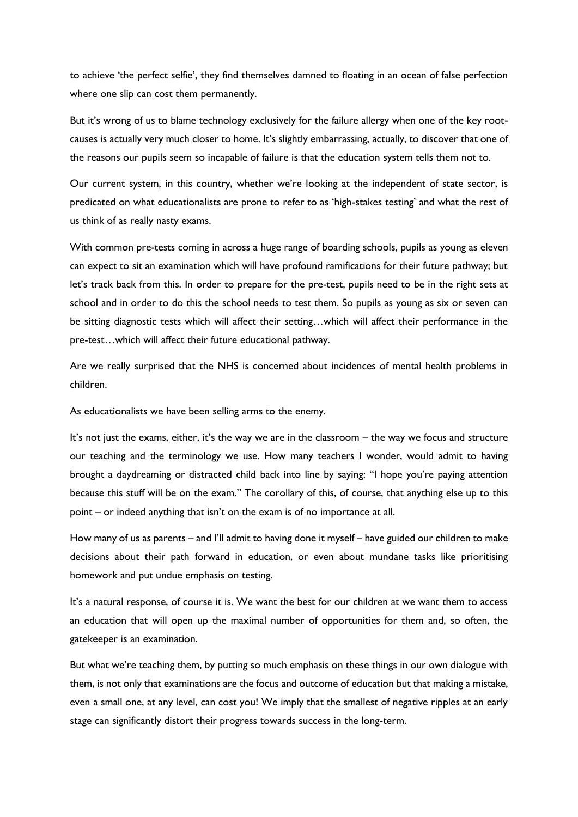to achieve 'the perfect selfie', they find themselves damned to floating in an ocean of false perfection where one slip can cost them permanently.

But it's wrong of us to blame technology exclusively for the failure allergy when one of the key rootcauses is actually very much closer to home. It's slightly embarrassing, actually, to discover that one of the reasons our pupils seem so incapable of failure is that the education system tells them not to.

Our current system, in this country, whether we're looking at the independent of state sector, is predicated on what educationalists are prone to refer to as 'high-stakes testing' and what the rest of us think of as really nasty exams.

With common pre-tests coming in across a huge range of boarding schools, pupils as young as eleven can expect to sit an examination which will have profound ramifications for their future pathway; but let's track back from this. In order to prepare for the pre-test, pupils need to be in the right sets at school and in order to do this the school needs to test them. So pupils as young as six or seven can be sitting diagnostic tests which will affect their setting…which will affect their performance in the pre-test…which will affect their future educational pathway.

Are we really surprised that the NHS is concerned about incidences of mental health problems in children.

As educationalists we have been selling arms to the enemy.

It's not just the exams, either, it's the way we are in the classroom – the way we focus and structure our teaching and the terminology we use. How many teachers I wonder, would admit to having brought a daydreaming or distracted child back into line by saying: "I hope you're paying attention because this stuff will be on the exam." The corollary of this, of course, that anything else up to this point – or indeed anything that isn't on the exam is of no importance at all.

How many of us as parents – and I'll admit to having done it myself – have guided our children to make decisions about their path forward in education, or even about mundane tasks like prioritising homework and put undue emphasis on testing.

It's a natural response, of course it is. We want the best for our children at we want them to access an education that will open up the maximal number of opportunities for them and, so often, the gatekeeper is an examination.

But what we're teaching them, by putting so much emphasis on these things in our own dialogue with them, is not only that examinations are the focus and outcome of education but that making a mistake, even a small one, at any level, can cost you! We imply that the smallest of negative ripples at an early stage can significantly distort their progress towards success in the long-term.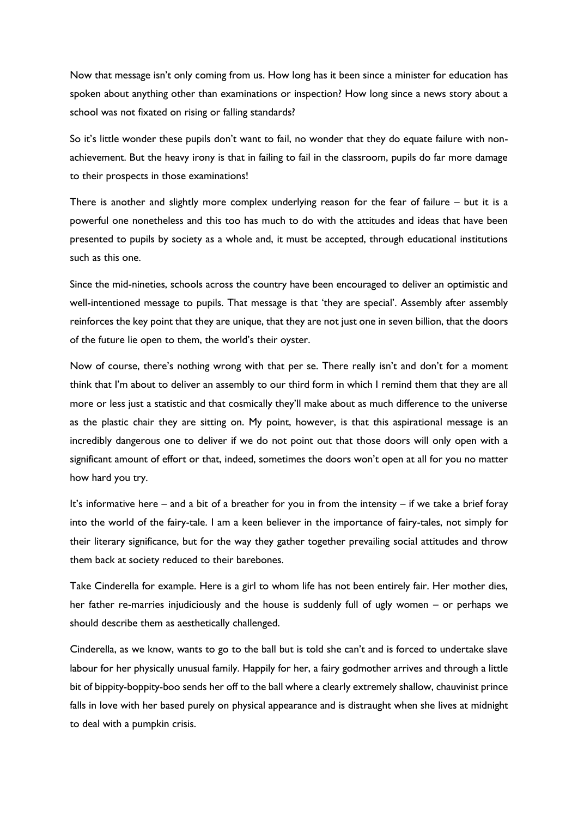Now that message isn't only coming from us. How long has it been since a minister for education has spoken about anything other than examinations or inspection? How long since a news story about a school was not fixated on rising or falling standards?

So it's little wonder these pupils don't want to fail, no wonder that they do equate failure with nonachievement. But the heavy irony is that in failing to fail in the classroom, pupils do far more damage to their prospects in those examinations!

There is another and slightly more complex underlying reason for the fear of failure – but it is a powerful one nonetheless and this too has much to do with the attitudes and ideas that have been presented to pupils by society as a whole and, it must be accepted, through educational institutions such as this one.

Since the mid-nineties, schools across the country have been encouraged to deliver an optimistic and well-intentioned message to pupils. That message is that 'they are special'. Assembly after assembly reinforces the key point that they are unique, that they are not just one in seven billion, that the doors of the future lie open to them, the world's their oyster.

Now of course, there's nothing wrong with that per se. There really isn't and don't for a moment think that I'm about to deliver an assembly to our third form in which I remind them that they are all more or less just a statistic and that cosmically they'll make about as much difference to the universe as the plastic chair they are sitting on. My point, however, is that this aspirational message is an incredibly dangerous one to deliver if we do not point out that those doors will only open with a significant amount of effort or that, indeed, sometimes the doors won't open at all for you no matter how hard you try.

It's informative here – and a bit of a breather for you in from the intensity – if we take a brief foray into the world of the fairy-tale. I am a keen believer in the importance of fairy-tales, not simply for their literary significance, but for the way they gather together prevailing social attitudes and throw them back at society reduced to their barebones.

Take Cinderella for example. Here is a girl to whom life has not been entirely fair. Her mother dies, her father re-marries injudiciously and the house is suddenly full of ugly women – or perhaps we should describe them as aesthetically challenged.

Cinderella, as we know, wants to go to the ball but is told she can't and is forced to undertake slave labour for her physically unusual family. Happily for her, a fairy godmother arrives and through a little bit of bippity-boppity-boo sends her off to the ball where a clearly extremely shallow, chauvinist prince falls in love with her based purely on physical appearance and is distraught when she lives at midnight to deal with a pumpkin crisis.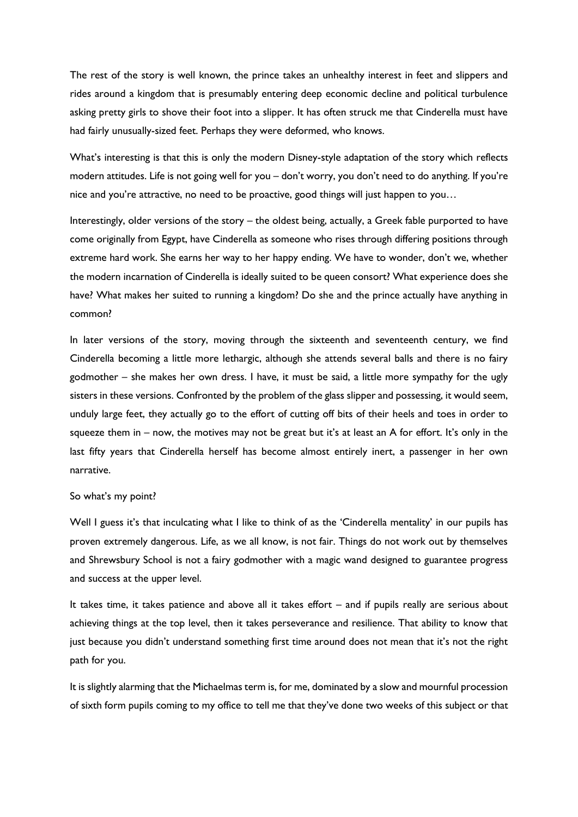The rest of the story is well known, the prince takes an unhealthy interest in feet and slippers and rides around a kingdom that is presumably entering deep economic decline and political turbulence asking pretty girls to shove their foot into a slipper. It has often struck me that Cinderella must have had fairly unusually-sized feet. Perhaps they were deformed, who knows.

What's interesting is that this is only the modern Disney-style adaptation of the story which reflects modern attitudes. Life is not going well for you – don't worry, you don't need to do anything. If you're nice and you're attractive, no need to be proactive, good things will just happen to you…

Interestingly, older versions of the story – the oldest being, actually, a Greek fable purported to have come originally from Egypt, have Cinderella as someone who rises through differing positions through extreme hard work. She earns her way to her happy ending. We have to wonder, don't we, whether the modern incarnation of Cinderella is ideally suited to be queen consort? What experience does she have? What makes her suited to running a kingdom? Do she and the prince actually have anything in common?

In later versions of the story, moving through the sixteenth and seventeenth century, we find Cinderella becoming a little more lethargic, although she attends several balls and there is no fairy godmother – she makes her own dress. I have, it must be said, a little more sympathy for the ugly sisters in these versions. Confronted by the problem of the glass slipper and possessing, it would seem, unduly large feet, they actually go to the effort of cutting off bits of their heels and toes in order to squeeze them in – now, the motives may not be great but it's at least an A for effort. It's only in the last fifty years that Cinderella herself has become almost entirely inert, a passenger in her own narrative.

#### So what's my point?

Well I guess it's that inculcating what I like to think of as the 'Cinderella mentality' in our pupils has proven extremely dangerous. Life, as we all know, is not fair. Things do not work out by themselves and Shrewsbury School is not a fairy godmother with a magic wand designed to guarantee progress and success at the upper level.

It takes time, it takes patience and above all it takes effort – and if pupils really are serious about achieving things at the top level, then it takes perseverance and resilience. That ability to know that just because you didn't understand something first time around does not mean that it's not the right path for you.

It is slightly alarming that the Michaelmas term is, for me, dominated by a slow and mournful procession of sixth form pupils coming to my office to tell me that they've done two weeks of this subject or that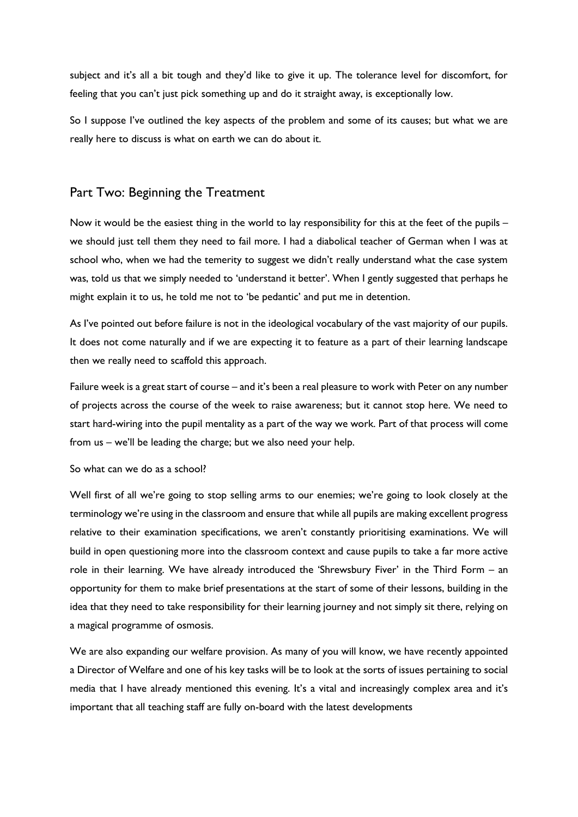subject and it's all a bit tough and they'd like to give it up. The tolerance level for discomfort, for feeling that you can't just pick something up and do it straight away, is exceptionally low.

So I suppose I've outlined the key aspects of the problem and some of its causes; but what we are really here to discuss is what on earth we can do about it.

### Part Two: Beginning the Treatment

Now it would be the easiest thing in the world to lay responsibility for this at the feet of the pupils – we should just tell them they need to fail more. I had a diabolical teacher of German when I was at school who, when we had the temerity to suggest we didn't really understand what the case system was, told us that we simply needed to 'understand it better'. When I gently suggested that perhaps he might explain it to us, he told me not to 'be pedantic' and put me in detention.

As I've pointed out before failure is not in the ideological vocabulary of the vast majority of our pupils. It does not come naturally and if we are expecting it to feature as a part of their learning landscape then we really need to scaffold this approach.

Failure week is a great start of course – and it's been a real pleasure to work with Peter on any number of projects across the course of the week to raise awareness; but it cannot stop here. We need to start hard-wiring into the pupil mentality as a part of the way we work. Part of that process will come from us – we'll be leading the charge; but we also need your help.

#### So what can we do as a school?

Well first of all we're going to stop selling arms to our enemies; we're going to look closely at the terminology we're using in the classroom and ensure that while all pupils are making excellent progress relative to their examination specifications, we aren't constantly prioritising examinations. We will build in open questioning more into the classroom context and cause pupils to take a far more active role in their learning. We have already introduced the 'Shrewsbury Fiver' in the Third Form – an opportunity for them to make brief presentations at the start of some of their lessons, building in the idea that they need to take responsibility for their learning journey and not simply sit there, relying on a magical programme of osmosis.

We are also expanding our welfare provision. As many of you will know, we have recently appointed a Director of Welfare and one of his key tasks will be to look at the sorts of issues pertaining to social media that I have already mentioned this evening. It's a vital and increasingly complex area and it's important that all teaching staff are fully on-board with the latest developments